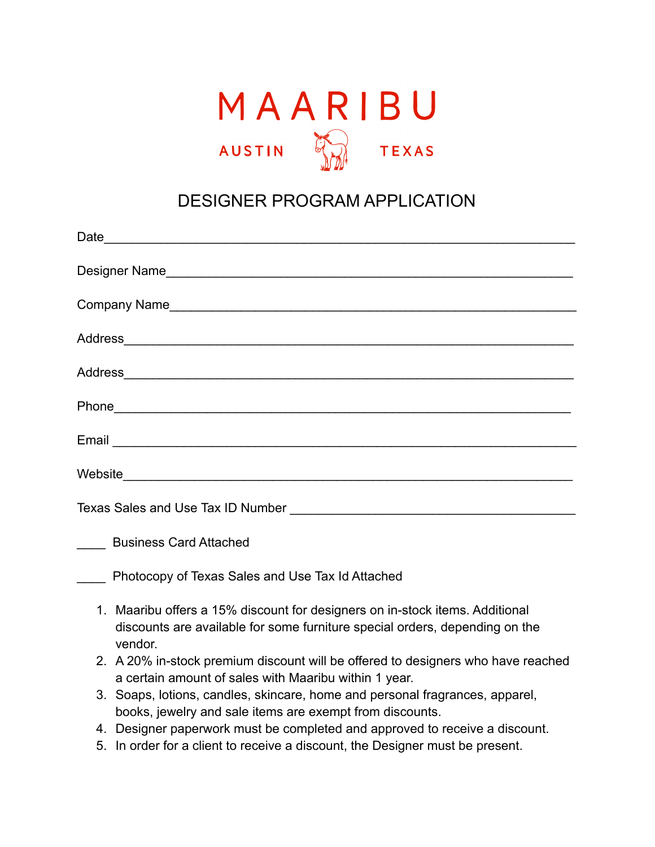

## DESIGNER PROGRAM APPLICATION